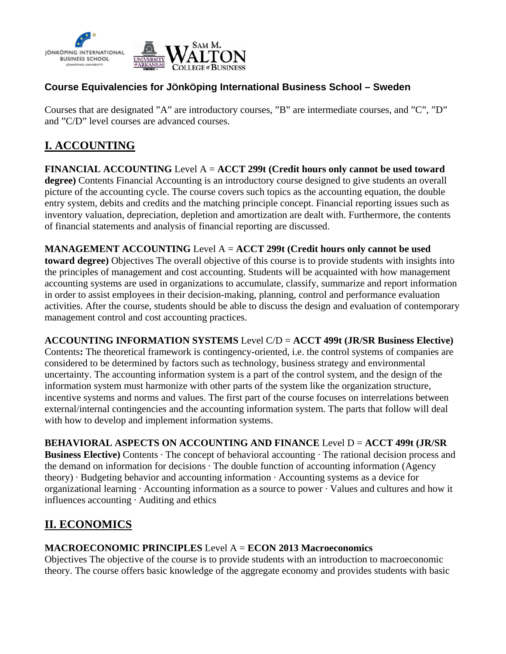

# **Course Equivalencies for JÖnkÖping International Business School – Sweden**

Courses that are designated "A" are introductory courses, "B" are intermediate courses, and "C", "D" and "C/D" level courses are advanced courses.

# **I. ACCOUNTING**

**FINANCIAL ACCOUNTING** Level A = **ACCT 299t (Credit hours only cannot be used toward degree)** Contents Financial Accounting is an introductory course designed to give students an overall picture of the accounting cycle. The course covers such topics as the accounting equation, the double entry system, debits and credits and the matching principle concept. Financial reporting issues such as inventory valuation, depreciation, depletion and amortization are dealt with. Furthermore, the contents of financial statements and analysis of financial reporting are discussed.

**MANAGEMENT ACCOUNTING** Level A = **ACCT 299t (Credit hours only cannot be used toward degree)** Objectives The overall objective of this course is to provide students with insights into the principles of management and cost accounting. Students will be acquainted with how management accounting systems are used in organizations to accumulate, classify, summarize and report information in order to assist employees in their decision-making, planning, control and performance evaluation activities. After the course, students should be able to discuss the design and evaluation of contemporary management control and cost accounting practices.

**ACCOUNTING INFORMATION SYSTEMS** Level C/D = **ACCT 499t (JR/SR Business Elective)** 

Contents**:** The theoretical framework is contingency-oriented, i.e. the control systems of companies are considered to be determined by factors such as technology, business strategy and environmental uncertainty. The accounting information system is a part of the control system, and the design of the information system must harmonize with other parts of the system like the organization structure, incentive systems and norms and values. The first part of the course focuses on interrelations between external/internal contingencies and the accounting information system. The parts that follow will deal with how to develop and implement information systems.

# **BEHAVIORAL ASPECTS ON ACCOUNTING AND FINANCE** Level D = **ACCT 499t (JR/SR**

**Business Elective)** Contents  $\cdot$  The concept of behavioral accounting  $\cdot$  The rational decision process and the demand on information for decisions · The double function of accounting information (Agency theory) · Budgeting behavior and accounting information · Accounting systems as a device for organizational learning · Accounting information as a source to power · Values and cultures and how it influences accounting · Auditing and ethics

# **II. ECONOMICS**

#### **MACROECONOMIC PRINCIPLES** Level A = **ECON 2013 Macroeconomics**

Objectives The objective of the course is to provide students with an introduction to macroeconomic theory. The course offers basic knowledge of the aggregate economy and provides students with basic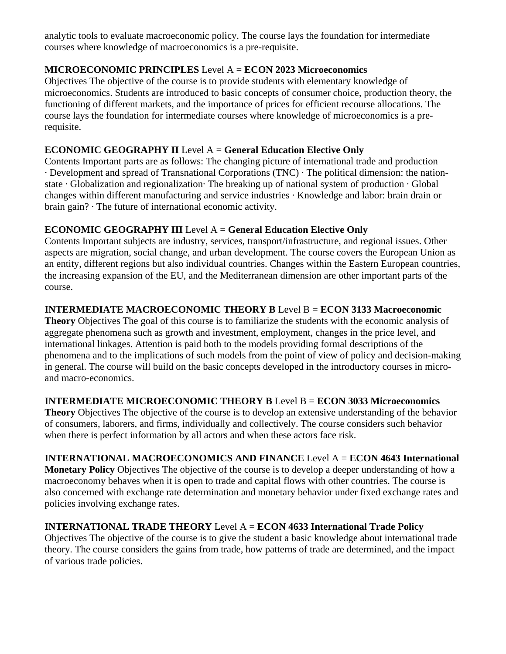analytic tools to evaluate macroeconomic policy. The course lays the foundation for intermediate courses where knowledge of macroeconomics is a pre-requisite.

# **MICROECONOMIC PRINCIPLES** Level A = **ECON 2023 Microeconomics**

Objectives The objective of the course is to provide students with elementary knowledge of microeconomics. Students are introduced to basic concepts of consumer choice, production theory, the functioning of different markets, and the importance of prices for efficient recourse allocations. The course lays the foundation for intermediate courses where knowledge of microeconomics is a prerequisite.

### **ECONOMIC GEOGRAPHY II** Level A = **General Education Elective Only**

Contents Important parts are as follows: The changing picture of international trade and production · Development and spread of Transnational Corporations (TNC) · The political dimension: the nationstate · Globalization and regionalization· The breaking up of national system of production · Global changes within different manufacturing and service industries · Knowledge and labor: brain drain or brain gain? · The future of international economic activity.

### **ECONOMIC GEOGRAPHY III** Level A = **General Education Elective Only**

Contents Important subjects are industry, services, transport/infrastructure, and regional issues. Other aspects are migration, social change, and urban development. The course covers the European Union as an entity, different regions but also individual countries. Changes within the Eastern European countries, the increasing expansion of the EU, and the Mediterranean dimension are other important parts of the course.

# **INTERMEDIATE MACROECONOMIC THEORY B** Level B = **ECON 3133 Macroeconomic**

**Theory** Objectives The goal of this course is to familiarize the students with the economic analysis of aggregate phenomena such as growth and investment, employment, changes in the price level, and international linkages. Attention is paid both to the models providing formal descriptions of the phenomena and to the implications of such models from the point of view of policy and decision-making in general. The course will build on the basic concepts developed in the introductory courses in microand macro-economics.

# **INTERMEDIATE MICROECONOMIC THEORY B** Level B = **ECON 3033 Microeconomics**

**Theory** Objectives The objective of the course is to develop an extensive understanding of the behavior of consumers, laborers, and firms, individually and collectively. The course considers such behavior when there is perfect information by all actors and when these actors face risk.

# **INTERNATIONAL MACROECONOMICS AND FINANCE** Level A = **ECON 4643 International**

**Monetary Policy** Objectives The objective of the course is to develop a deeper understanding of how a macroeconomy behaves when it is open to trade and capital flows with other countries. The course is also concerned with exchange rate determination and monetary behavior under fixed exchange rates and policies involving exchange rates.

# **INTERNATIONAL TRADE THEORY** Level A = **ECON 4633 International Trade Policy**

Objectives The objective of the course is to give the student a basic knowledge about international trade theory. The course considers the gains from trade, how patterns of trade are determined, and the impact of various trade policies.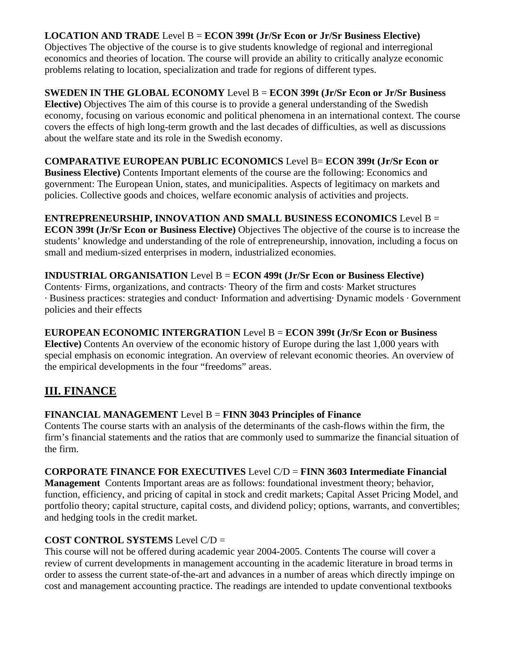# **LOCATION AND TRADE** Level B = **ECON 399t (Jr/Sr Econ or Jr/Sr Business Elective)**

Objectives The objective of the course is to give students knowledge of regional and interregional economics and theories of location. The course will provide an ability to critically analyze economic problems relating to location, specialization and trade for regions of different types.

# **SWEDEN IN THE GLOBAL ECONOMY** Level B = **ECON 399t (Jr/Sr Econ or Jr/Sr Business**

**Elective)** Objectives The aim of this course is to provide a general understanding of the Swedish economy, focusing on various economic and political phenomena in an international context. The course covers the effects of high long-term growth and the last decades of difficulties, as well as discussions about the welfare state and its role in the Swedish economy.

### **COMPARATIVE EUROPEAN PUBLIC ECONOMICS** Level B= **ECON 399t (Jr/Sr Econ or**

**Business Elective)** Contents Important elements of the course are the following: Economics and government: The European Union, states, and municipalities. Aspects of legitimacy on markets and policies. Collective goods and choices, welfare economic analysis of activities and projects.

# **ENTREPRENEURSHIP, INNOVATION AND SMALL BUSINESS ECONOMICS** Level B =

**ECON 399t (Jr/Sr Econ or Business Elective)** Objectives The objective of the course is to increase the students' knowledge and understanding of the role of entrepreneurship, innovation, including a focus on small and medium-sized enterprises in modern, industrialized economies.

### **INDUSTRIAL ORGANISATION** Level B = **ECON 499t (Jr/Sr Econ or Business Elective)**

Contents· Firms, organizations, and contracts· Theory of the firm and costs· Market structures · Business practices: strategies and conduct· Information and advertising· Dynamic models · Government policies and their effects

#### **EUROPEAN ECONOMIC INTERGRATION** Level B = **ECON 399t (Jr/Sr Econ or Business**

**Elective)** Contents An overview of the economic history of Europe during the last 1,000 years with special emphasis on economic integration. An overview of relevant economic theories. An overview of the empirical developments in the four "freedoms" areas.

# **III. FINANCE**

# **FINANCIAL MANAGEMENT** Level B = **FINN 3043 Principles of Finance**

Contents The course starts with an analysis of the determinants of the cash-flows within the firm, the firm's financial statements and the ratios that are commonly used to summarize the financial situation of the firm.

#### **CORPORATE FINANCE FOR EXECUTIVES** Level C/D = **FINN 3603 Intermediate Financial**

**Management** Contents Important areas are as follows: foundational investment theory; behavior, function, efficiency, and pricing of capital in stock and credit markets; Capital Asset Pricing Model, and portfolio theory; capital structure, capital costs, and dividend policy; options, warrants, and convertibles; and hedging tools in the credit market.

# **COST CONTROL SYSTEMS** Level C/D =

This course will not be offered during academic year 2004-2005. Contents The course will cover a review of current developments in management accounting in the academic literature in broad terms in order to assess the current state-of-the-art and advances in a number of areas which directly impinge on cost and management accounting practice. The readings are intended to update conventional textbooks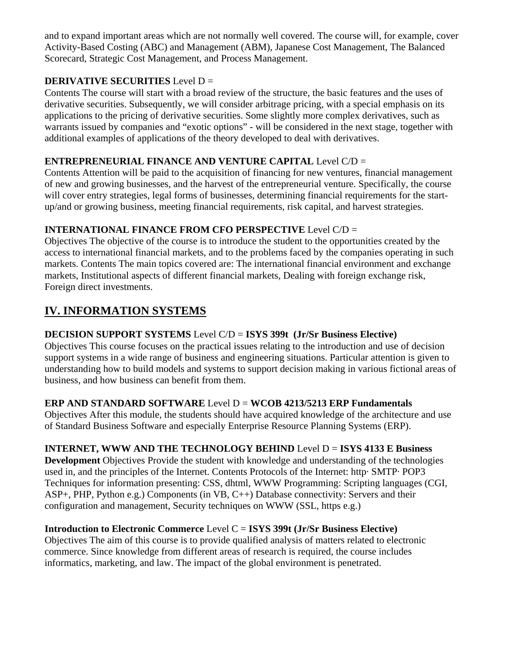and to expand important areas which are not normally well covered. The course will, for example, cover Activity-Based Costing (ABC) and Management (ABM), Japanese Cost Management, The Balanced Scorecard, Strategic Cost Management, and Process Management.

# **DERIVATIVE SECURITIES** Level D =

Contents The course will start with a broad review of the structure, the basic features and the uses of derivative securities. Subsequently, we will consider arbitrage pricing, with a special emphasis on its applications to the pricing of derivative securities. Some slightly more complex derivatives, such as warrants issued by companies and "exotic options" - will be considered in the next stage, together with additional examples of applications of the theory developed to deal with derivatives.

# **ENTREPRENEURIAL FINANCE AND VENTURE CAPITAL** Level C/D =

Contents Attention will be paid to the acquisition of financing for new ventures, financial management of new and growing businesses, and the harvest of the entrepreneurial venture. Specifically, the course will cover entry strategies, legal forms of businesses, determining financial requirements for the startup/and or growing business, meeting financial requirements, risk capital, and harvest strategies.

# **INTERNATIONAL FINANCE FROM CFO PERSPECTIVE** Level C/D =

Objectives The objective of the course is to introduce the student to the opportunities created by the access to international financial markets, and to the problems faced by the companies operating in such markets. Contents The main topics covered are: The international financial environment and exchange markets, Institutional aspects of different financial markets, Dealing with foreign exchange risk, Foreign direct investments.

# **IV. INFORMATION SYSTEMS**

# **DECISION SUPPORT SYSTEMS** Level C/D = **ISYS 399t (Jr/Sr Business Elective)**

Objectives This course focuses on the practical issues relating to the introduction and use of decision support systems in a wide range of business and engineering situations. Particular attention is given to understanding how to build models and systems to support decision making in various fictional areas of business, and how business can benefit from them.

# **ERP AND STANDARD SOFTWARE** Level D = **WCOB 4213/5213 ERP Fundamentals**

Objectives After this module, the students should have acquired knowledge of the architecture and use of Standard Business Software and especially Enterprise Resource Planning Systems (ERP).

# **INTERNET, WWW AND THE TECHNOLOGY BEHIND** Level D = **ISYS 4133 E Business**

**Development** Objectives Provide the student with knowledge and understanding of the technologies used in, and the principles of the Internet. Contents Protocols of the Internet: http· SMTP· POP3 Techniques for information presenting: CSS, dhtml, WWW Programming: Scripting languages (CGI, ASP+, PHP, Python e.g.) Components (in VB, C++) Database connectivity: Servers and their configuration and management, Security techniques on WWW (SSL, https e.g.)

# **Introduction to Electronic Commerce** Level C = **ISYS 399t (Jr/Sr Business Elective)**

Objectives The aim of this course is to provide qualified analysis of matters related to electronic commerce. Since knowledge from different areas of research is required, the course includes informatics, marketing, and law. The impact of the global environment is penetrated.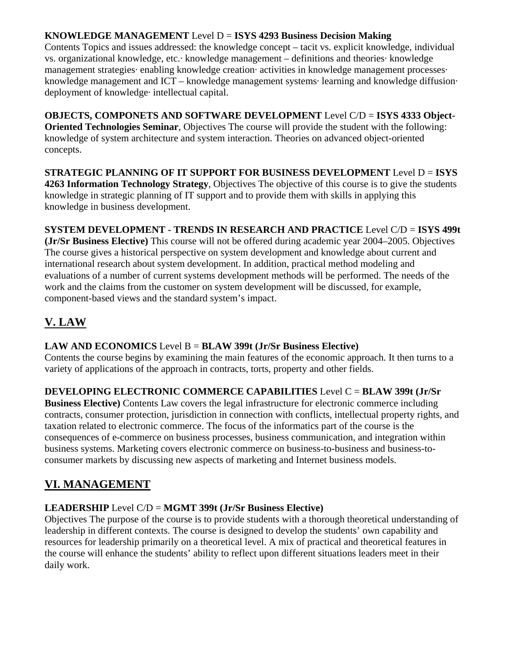### **KNOWLEDGE MANAGEMENT** Level D = **ISYS 4293 Business Decision Making**

Contents Topics and issues addressed: the knowledge concept – tacit vs. explicit knowledge, individual vs. organizational knowledge, etc.· knowledge management – definitions and theories· knowledge management strategies· enabling knowledge creation· activities in knowledge management processes· knowledge management and ICT – knowledge management systems· learning and knowledge diffusion· deployment of knowledge· intellectual capital.

**OBJECTS, COMPONETS AND SOFTWARE DEVELOPMENT** Level C/D = **ISYS 4333 Object-Oriented Technologies Seminar**, Objectives The course will provide the student with the following: knowledge of system architecture and system interaction. Theories on advanced object-oriented concepts.

**STRATEGIC PLANNING OF IT SUPPORT FOR BUSINESS DEVELOPMENT** Level D = **ISYS 4263 Information Technology Strategy**, Objectives The objective of this course is to give the students knowledge in strategic planning of IT support and to provide them with skills in applying this knowledge in business development.

# **SYSTEM DEVELOPMENT - TRENDS IN RESEARCH AND PRACTICE** Level C/D = **ISYS 499t**

**(Jr/Sr Business Elective)** This course will not be offered during academic year 2004–2005. Objectives The course gives a historical perspective on system development and knowledge about current and international research about system development. In addition, practical method modeling and evaluations of a number of current systems development methods will be performed. The needs of the work and the claims from the customer on system development will be discussed, for example, component-based views and the standard system's impact.

# **V. LAW**

# **LAW AND ECONOMICS** Level B = **BLAW 399t (Jr/Sr Business Elective)**

Contents the course begins by examining the main features of the economic approach. It then turns to a variety of applications of the approach in contracts, torts, property and other fields.

# **DEVELOPING ELECTRONIC COMMERCE CAPABILITIES** Level C = **BLAW 399t (Jr/Sr**

**Business Elective)** Contents Law covers the legal infrastructure for electronic commerce including contracts, consumer protection, jurisdiction in connection with conflicts, intellectual property rights, and taxation related to electronic commerce. The focus of the informatics part of the course is the consequences of e-commerce on business processes, business communication, and integration within business systems. Marketing covers electronic commerce on business-to-business and business-toconsumer markets by discussing new aspects of marketing and Internet business models.

# **VI. MANAGEMENT**

# **LEADERSHIP** Level C/D = **MGMT 399t (Jr/Sr Business Elective)**

Objectives The purpose of the course is to provide students with a thorough theoretical understanding of leadership in different contexts. The course is designed to develop the students' own capability and resources for leadership primarily on a theoretical level. A mix of practical and theoretical features in the course will enhance the students' ability to reflect upon different situations leaders meet in their daily work.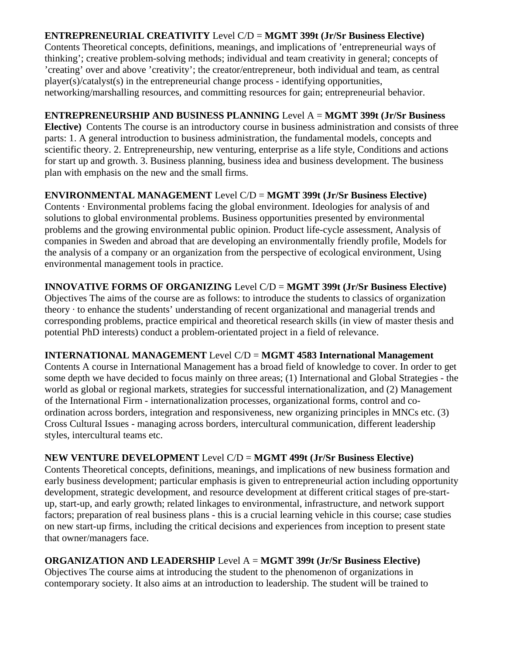# **ENTREPRENEURIAL CREATIVITY** Level C/D = **MGMT 399t (Jr/Sr Business Elective)**

Contents Theoretical concepts, definitions, meanings, and implications of 'entrepreneurial ways of thinking'; creative problem-solving methods; individual and team creativity in general; concepts of 'creating' over and above 'creativity'; the creator/entrepreneur, both individual and team, as central player(s)/catalyst(s) in the entrepreneurial change process - identifying opportunities, networking/marshalling resources, and committing resources for gain; entrepreneurial behavior.

### **ENTREPRENEURSHIP AND BUSINESS PLANNING** Level A = **MGMT 399t (Jr/Sr Business**

**Elective)** Contents The course is an introductory course in business administration and consists of three parts: 1. A general introduction to business administration, the fundamental models, concepts and scientific theory. 2. Entrepreneurship, new venturing, enterprise as a life style, Conditions and actions for start up and growth. 3. Business planning, business idea and business development. The business plan with emphasis on the new and the small firms.

### **ENVIRONMENTAL MANAGEMENT** Level C/D = **MGMT 399t (Jr/Sr Business Elective)**

Contents · Environmental problems facing the global environment. Ideologies for analysis of and solutions to global environmental problems. Business opportunities presented by environmental problems and the growing environmental public opinion. Product life-cycle assessment, Analysis of companies in Sweden and abroad that are developing an environmentally friendly profile, Models for the analysis of a company or an organization from the perspective of ecological environment, Using environmental management tools in practice.

### **INNOVATIVE FORMS OF ORGANIZING** Level C/D = **MGMT 399t (Jr/Sr Business Elective)**

Objectives The aims of the course are as follows: to introduce the students to classics of organization theory · to enhance the students' understanding of recent organizational and managerial trends and corresponding problems, practice empirical and theoretical research skills (in view of master thesis and potential PhD interests) conduct a problem-orientated project in a field of relevance.

#### **INTERNATIONAL MANAGEMENT** Level C/D = **MGMT 4583 International Management**

Contents A course in International Management has a broad field of knowledge to cover. In order to get some depth we have decided to focus mainly on three areas; (1) International and Global Strategies - the world as global or regional markets, strategies for successful internationalization, and (2) Management of the International Firm - internationalization processes, organizational forms, control and coordination across borders, integration and responsiveness, new organizing principles in MNCs etc. (3) Cross Cultural Issues - managing across borders, intercultural communication, different leadership styles, intercultural teams etc.

#### **NEW VENTURE DEVELOPMENT** Level C/D = **MGMT 499t (Jr/Sr Business Elective)**

Contents Theoretical concepts, definitions, meanings, and implications of new business formation and early business development; particular emphasis is given to entrepreneurial action including opportunity development, strategic development, and resource development at different critical stages of pre-startup, start-up, and early growth; related linkages to environmental, infrastructure, and network support factors; preparation of real business plans - this is a crucial learning vehicle in this course; case studies on new start-up firms, including the critical decisions and experiences from inception to present state that owner/managers face.

# **ORGANIZATION AND LEADERSHIP** Level A = **MGMT 399t (Jr/Sr Business Elective)**

Objectives The course aims at introducing the student to the phenomenon of organizations in contemporary society. It also aims at an introduction to leadership. The student will be trained to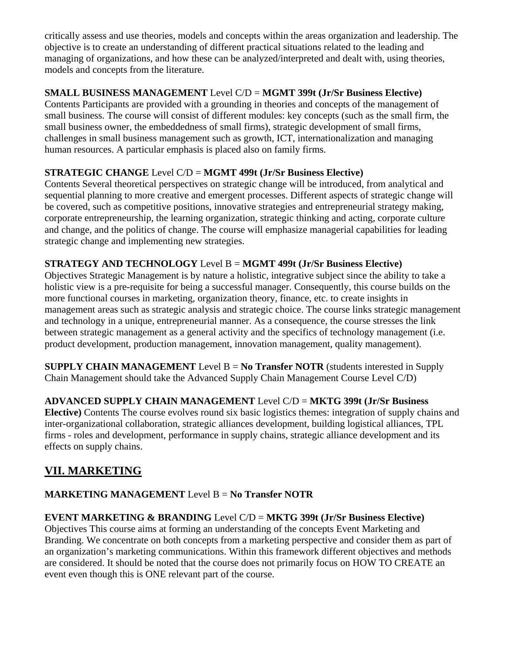critically assess and use theories, models and concepts within the areas organization and leadership. The objective is to create an understanding of different practical situations related to the leading and managing of organizations, and how these can be analyzed/interpreted and dealt with, using theories, models and concepts from the literature.

# **SMALL BUSINESS MANAGEMENT** Level C/D = **MGMT 399t (Jr/Sr Business Elective)**

Contents Participants are provided with a grounding in theories and concepts of the management of small business. The course will consist of different modules: key concepts (such as the small firm, the small business owner, the embeddedness of small firms), strategic development of small firms, challenges in small business management such as growth, ICT, internationalization and managing human resources. A particular emphasis is placed also on family firms.

# **STRATEGIC CHANGE** Level C/D = **MGMT 499t (Jr/Sr Business Elective)**

Contents Several theoretical perspectives on strategic change will be introduced, from analytical and sequential planning to more creative and emergent processes. Different aspects of strategic change will be covered, such as competitive positions, innovative strategies and entrepreneurial strategy making, corporate entrepreneurship, the learning organization, strategic thinking and acting, corporate culture and change, and the politics of change. The course will emphasize managerial capabilities for leading strategic change and implementing new strategies.

# **STRATEGY AND TECHNOLOGY** Level B = **MGMT 499t (Jr/Sr Business Elective)**

Objectives Strategic Management is by nature a holistic, integrative subject since the ability to take a holistic view is a pre-requisite for being a successful manager. Consequently, this course builds on the more functional courses in marketing, organization theory, finance, etc. to create insights in management areas such as strategic analysis and strategic choice. The course links strategic management and technology in a unique, entrepreneurial manner. As a consequence, the course stresses the link between strategic management as a general activity and the specifics of technology management (i.e. product development, production management, innovation management, quality management).

**SUPPLY CHAIN MANAGEMENT** Level B = **No Transfer NOTR** (students interested in Supply Chain Management should take the Advanced Supply Chain Management Course Level C/D)

# **ADVANCED SUPPLY CHAIN MANAGEMENT** Level C/D = **MKTG 399t (Jr/Sr Business**

**Elective)** Contents The course evolves round six basic logistics themes: integration of supply chains and inter-organizational collaboration, strategic alliances development, building logistical alliances, TPL firms - roles and development, performance in supply chains, strategic alliance development and its effects on supply chains.

# **VII. MARKETING**

# **MARKETING MANAGEMENT** Level B = **No Transfer NOTR**

# **EVENT MARKETING & BRANDING** Level C/D = **MKTG 399t (Jr/Sr Business Elective)**

Objectives This course aims at forming an understanding of the concepts Event Marketing and Branding. We concentrate on both concepts from a marketing perspective and consider them as part of an organization's marketing communications. Within this framework different objectives and methods are considered. It should be noted that the course does not primarily focus on HOW TO CREATE an event even though this is ONE relevant part of the course.